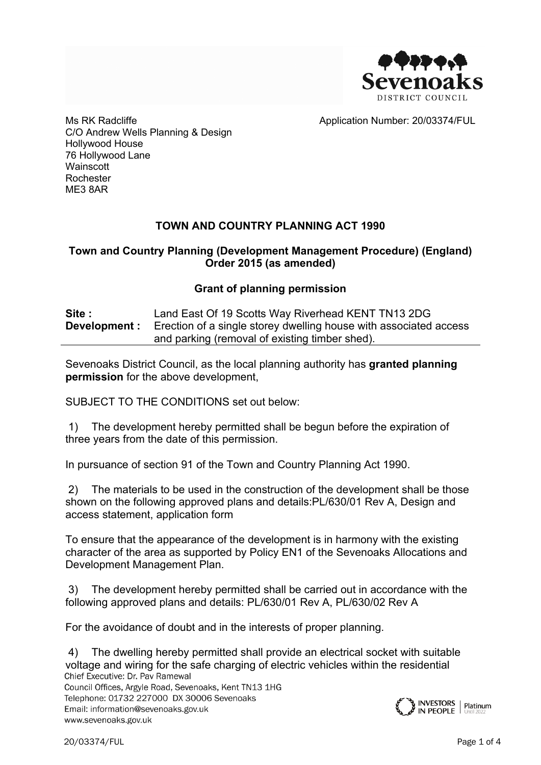

Application Number: 20/03374/FUL

Ms RK Radcliffe C/O Andrew Wells Planning & Design Hollywood House 76 Hollywood Lane **Wainscott** Rochester ME3 8AR

# **TOWN AND COUNTRY PLANNING ACT 1990**

## **Town and Country Planning (Development Management Procedure) (England) Order 2015 (as amended)**

## **Grant of planning permission**

| Site: | Land East Of 19 Scotts Way Riverhead KENT TN13 2DG                                     |
|-------|----------------------------------------------------------------------------------------|
|       | <b>Development</b> : Erection of a single storey dwelling house with associated access |
|       | and parking (removal of existing timber shed).                                         |

Sevenoaks District Council, as the local planning authority has **granted planning permission** for the above development,

SUBJECT TO THE CONDITIONS set out below:

1) The development hereby permitted shall be begun before the expiration of three years from the date of this permission.

In pursuance of section 91 of the Town and Country Planning Act 1990.

2) The materials to be used in the construction of the development shall be those shown on the following approved plans and details:PL/630/01 Rev A, Design and access statement, application form

To ensure that the appearance of the development is in harmony with the existing character of the area as supported by Policy EN1 of the Sevenoaks Allocations and Development Management Plan.

3) The development hereby permitted shall be carried out in accordance with the following approved plans and details: PL/630/01 Rev A, PL/630/02 Rev A

For the avoidance of doubt and in the interests of proper planning.

4) The dwelling hereby permitted shall provide an electrical socket with suitable voltage and wiring for the safe charging of electric vehicles within the residentialChief Executive: Dr. Pav Ramewal

Council Offices, Argyle Road, Sevenoaks, Kent TN13 1HG Telephone: 01732 227000 DX 30006 Sevenoaks Email: information@sevenoaks.gov.uk www.sevenoaks.gov.uk

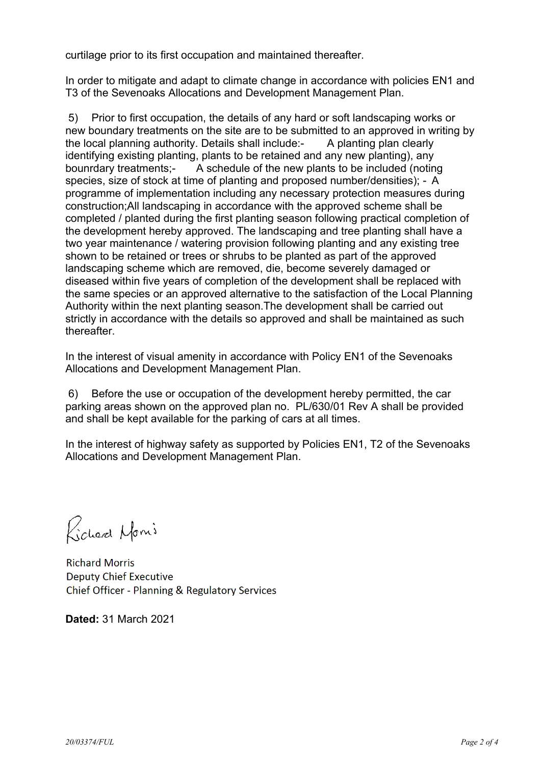curtilage prior to its first occupation and maintained thereafter.

In order to mitigate and adapt to climate change in accordance with policies EN1 and T3 of the Sevenoaks Allocations and Development Management Plan.

5) Prior to first occupation, the details of any hard or soft landscaping works or new boundary treatments on the site are to be submitted to an approved in writing by the local planning authority. Details shall include:- A planting plan clearly identifying existing planting, plants to be retained and any new planting), any bounrdary treatments;- A schedule of the new plants to be included (noting species, size of stock at time of planting and proposed number/densities); - A programme of implementation including any necessary protection measures during construction;All landscaping in accordance with the approved scheme shall be completed / planted during the first planting season following practical completion of the development hereby approved. The landscaping and tree planting shall have a two year maintenance / watering provision following planting and any existing tree shown to be retained or trees or shrubs to be planted as part of the approved landscaping scheme which are removed, die, become severely damaged or diseased within five years of completion of the development shall be replaced with the same species or an approved alternative to the satisfaction of the Local Planning Authority within the next planting season.The development shall be carried out strictly in accordance with the details so approved and shall be maintained as such thereafter.

In the interest of visual amenity in accordance with Policy EN1 of the Sevenoaks Allocations and Development Management Plan.

6) Before the use or occupation of the development hereby permitted, the car parking areas shown on the approved plan no. PL/630/01 Rev A shall be provided and shall be kept available for the parking of cars at all times.

In the interest of highway safety as supported by Policies EN1, T2 of the Sevenoaks Allocations and Development Management Plan.

Richard Nomi

**Richard Morris Deputy Chief Executive** Chief Officer - Planning & Regulatory Services

**Dated:** 31 March 2021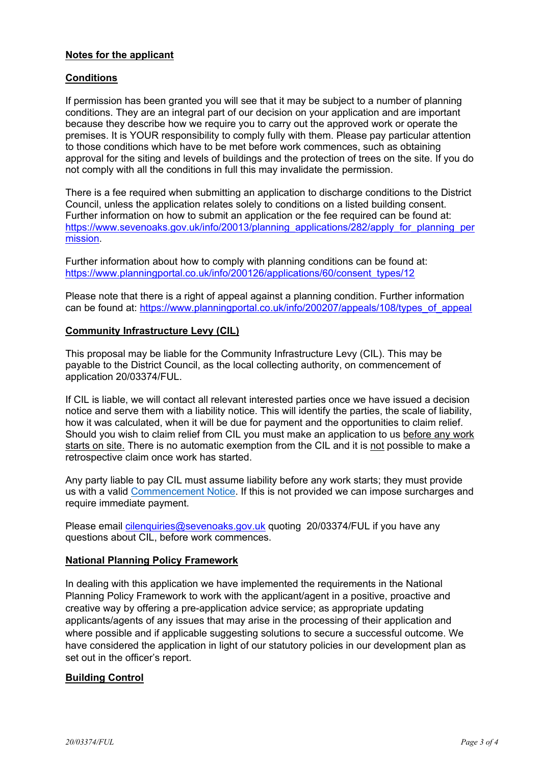### **Notes for the applicant**

#### **Conditions**

If permission has been granted you will see that it may be subject to a number of planning conditions. They are an integral part of our decision on your application and are important because they describe how we require you to carry out the approved work or operate the premises. It is YOUR responsibility to comply fully with them. Please pay particular attention to those conditions which have to be met before work commences, such as obtaining approval for the siting and levels of buildings and the protection of trees on the site. If you do not comply with all the conditions in full this may invalidate the permission.

There is a fee required when submitting an application to discharge conditions to the District Council, unless the application relates solely to conditions on a listed building consent. Further information on how to submit an application or the fee required can be found at: [https://www.sevenoaks.gov.uk/info/20013/planning\\_applications/282/apply\\_for\\_planning\\_per](https://www.sevenoaks.gov.uk/info/20013/planning_applications/282/apply_for_planning_permission) [mission](https://www.sevenoaks.gov.uk/info/20013/planning_applications/282/apply_for_planning_permission).

Further information about how to comply with planning conditions can be found at: [https://www.planningportal.co.uk/info/200126/applications/60/consent\\_types/12](https://www.planningportal.co.uk/info/200126/applications/60/consent_types/12)

Please note that there is a right of appeal against a planning condition. Further information can be found at: [https://www.planningportal.co.uk/info/200207/appeals/108/types\\_of\\_appeal](https://www.planningportal.co.uk/info/200207/appeals/108/types_of_appeal)

#### **Community Infrastructure Levy (CIL)**

This proposal may be liable for the Community Infrastructure Levy (CIL). This may be payable to the District Council, as the local collecting authority, on commencement of application 20/03374/FUL.

If CIL is liable, we will contact all relevant interested parties once we have issued a decision notice and serve them with a liability notice. This will identify the parties, the scale of liability, how it was calculated, when it will be due for payment and the opportunities to claim relief. Should you wish to claim relief from CIL you must make an application to us before any work starts on site. There is no automatic exemption from the CIL and it is not possible to make a retrospective claim once work has started.

Any party liable to pay CIL must assume liability before any work starts; they must provide us with a valid [Commencement](https://www.planningportal.co.uk/info/200126/applications/70/community_infrastructure_levy/5) Notice. If this is not provided we can impose surcharges and require immediate payment.

Please email *[cilenquiries@sevenoaks.gov.uk](mailto:cilenquiries@sevenoaks.gov.uk)* quoting 20/03374/FUL if you have any questions about CIL, before work commences.

#### **National Planning Policy Framework**

In dealing with this application we have implemented the requirements in the National Planning Policy Framework to work with the applicant/agent in a positive, proactive and creative way by offering a pre-application advice service; as appropriate updating applicants/agents of any issues that may arise in the processing of their application and where possible and if applicable suggesting solutions to secure a successful outcome. We have considered the application in light of our statutory policies in our development plan as set out in the officer's report.

#### **Building Control**